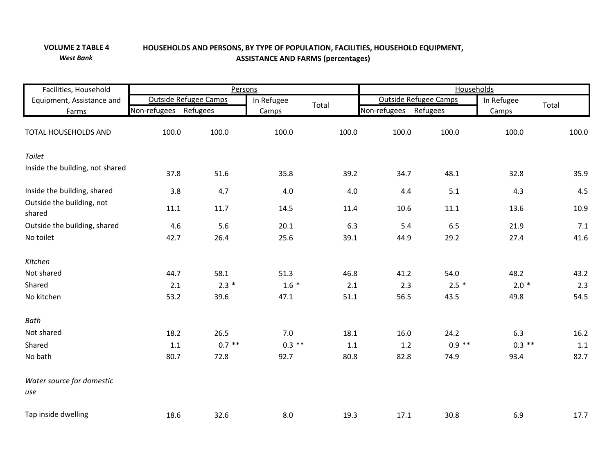## **HOLD EQUIPMENT, TABLE 4 HOUSEHOLDS AND PERSONS, BY TYPE OF POPULATION, FACILITIES, HOUSE VOLUME 2***West Bank***ASSISTANCE AND FARMS (percentages)**

| Facilities, Household               |                       |          | Persons    |       | <b>Households</b>            |          |            |         |  |
|-------------------------------------|-----------------------|----------|------------|-------|------------------------------|----------|------------|---------|--|
| Equipment, Assistance and           | Outside Refugee Camps |          | In Refugee |       | <b>Outside Refugee Camps</b> |          | In Refugee |         |  |
| Farms                               | Non-refugees          | Refugees | Camps      | Total | Non-refugees<br>Refugees     |          | Camps      | Total   |  |
| TOTAL HOUSEHOLDS AND                | 100.0                 | 100.0    | 100.0      | 100.0 | 100.0                        | 100.0    | 100.0      | 100.0   |  |
| Toilet                              |                       |          |            |       |                              |          |            |         |  |
| Inside the building, not shared     | 37.8                  | 51.6     | 35.8       | 39.2  | 34.7                         | 48.1     | 32.8       | 35.9    |  |
| Inside the building, shared         | 3.8                   | 4.7      | 4.0        | 4.0   | 4.4                          | 5.1      | 4.3        | 4.5     |  |
| Outside the building, not<br>shared | 11.1                  | 11.7     | 14.5       | 11.4  | 10.6                         | 11.1     | 13.6       | 10.9    |  |
| Outside the building, shared        | 4.6                   | 5.6      | 20.1       | 6.3   | 5.4                          | 6.5      | 21.9       | 7.1     |  |
| No toilet                           | 42.7                  | 26.4     | 25.6       | 39.1  | 44.9                         | 29.2     | 27.4       | 41.6    |  |
| Kitchen                             |                       |          |            |       |                              |          |            |         |  |
| Not shared                          | 44.7                  | 58.1     | 51.3       | 46.8  | 41.2                         | 54.0     | 48.2       | 43.2    |  |
| Shared                              | 2.1                   | $2.3*$   | $1.6 *$    | 2.1   | 2.3                          | $2.5*$   | $2.0*$     | 2.3     |  |
| No kitchen                          | 53.2                  | 39.6     | 47.1       | 51.1  | 56.5                         | 43.5     | 49.8       | 54.5    |  |
| Bath                                |                       |          |            |       |                              |          |            |         |  |
| Not shared                          | 18.2                  | 26.5     | 7.0        | 18.1  | 16.0                         | 24.2     | 6.3        | 16.2    |  |
| Shared                              | $1.1\,$               | $0.7$ ** | $0.3$ **   | 1.1   | $1.2$                        | $0.9$ ** | $0.3$ **   | $1.1\,$ |  |
| No bath                             | 80.7                  | 72.8     | 92.7       | 80.8  | 82.8                         | 74.9     | 93.4       | 82.7    |  |
| Water source for domestic<br>use    |                       |          |            |       |                              |          |            |         |  |
| Tap inside dwelling                 | 18.6                  | 32.6     | 8.0        | 19.3  | 17.1                         | 30.8     | 6.9        | 17.7    |  |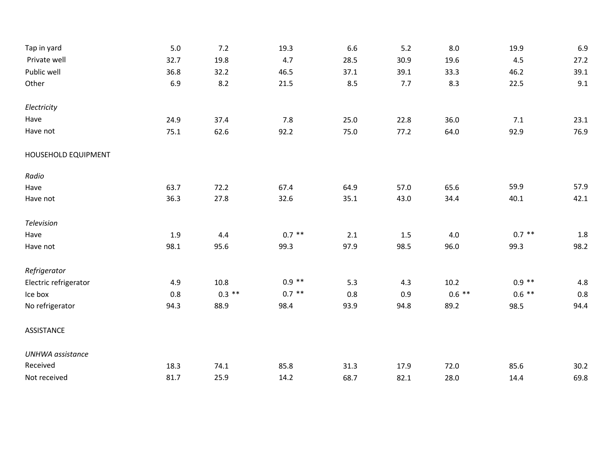| Tap in yard             | 5.0  | 7.2      | 19.3     | 6.6     | 5.2     | 8.0      | 19.9     | 6.9     |
|-------------------------|------|----------|----------|---------|---------|----------|----------|---------|
| Private well            | 32.7 | 19.8     | 4.7      | 28.5    | 30.9    | 19.6     | 4.5      | 27.2    |
| Public well             | 36.8 | 32.2     | 46.5     | 37.1    | 39.1    | 33.3     | 46.2     | 39.1    |
| Other                   | 6.9  | 8.2      | 21.5     | 8.5     | 7.7     | 8.3      | 22.5     | 9.1     |
| Electricity             |      |          |          |         |         |          |          |         |
| Have                    | 24.9 | 37.4     | 7.8      | 25.0    | 22.8    | 36.0     | 7.1      | 23.1    |
| Have not                | 75.1 | 62.6     | 92.2     | 75.0    | 77.2    | 64.0     | 92.9     | 76.9    |
| HOUSEHOLD EQUIPMENT     |      |          |          |         |         |          |          |         |
| Radio                   |      |          |          |         |         |          |          |         |
| Have                    | 63.7 | 72.2     | 67.4     | 64.9    | 57.0    | 65.6     | 59.9     | 57.9    |
| Have not                | 36.3 | 27.8     | 32.6     | 35.1    | 43.0    | 34.4     | 40.1     | 42.1    |
| Television              |      |          |          |         |         |          |          |         |
| Have                    | 1.9  | 4.4      | $0.7$ ** | $2.1\,$ | $1.5\,$ | 4.0      | $0.7$ ** | $1.8\,$ |
| Have not                | 98.1 | 95.6     | 99.3     | 97.9    | 98.5    | 96.0     | 99.3     | 98.2    |
| Refrigerator            |      |          |          |         |         |          |          |         |
| Electric refrigerator   | 4.9  | 10.8     | $0.9$ ** | 5.3     | 4.3     | 10.2     | $0.9***$ | $4.8\,$ |
| Ice box                 | 0.8  | $0.3$ ** | $0.7$ ** | 0.8     | 0.9     | $0.6$ ** | $0.6$ ** | 0.8     |
| No refrigerator         | 94.3 | 88.9     | 98.4     | 93.9    | 94.8    | 89.2     | 98.5     | 94.4    |
| ASSISTANCE              |      |          |          |         |         |          |          |         |
| <b>UNHWA</b> assistance |      |          |          |         |         |          |          |         |
| Received                | 18.3 | 74.1     | 85.8     | 31.3    | 17.9    | 72.0     | 85.6     | 30.2    |
| Not received            | 81.7 | 25.9     | 14.2     | 68.7    | 82.1    | 28.0     | 14.4     | 69.8    |